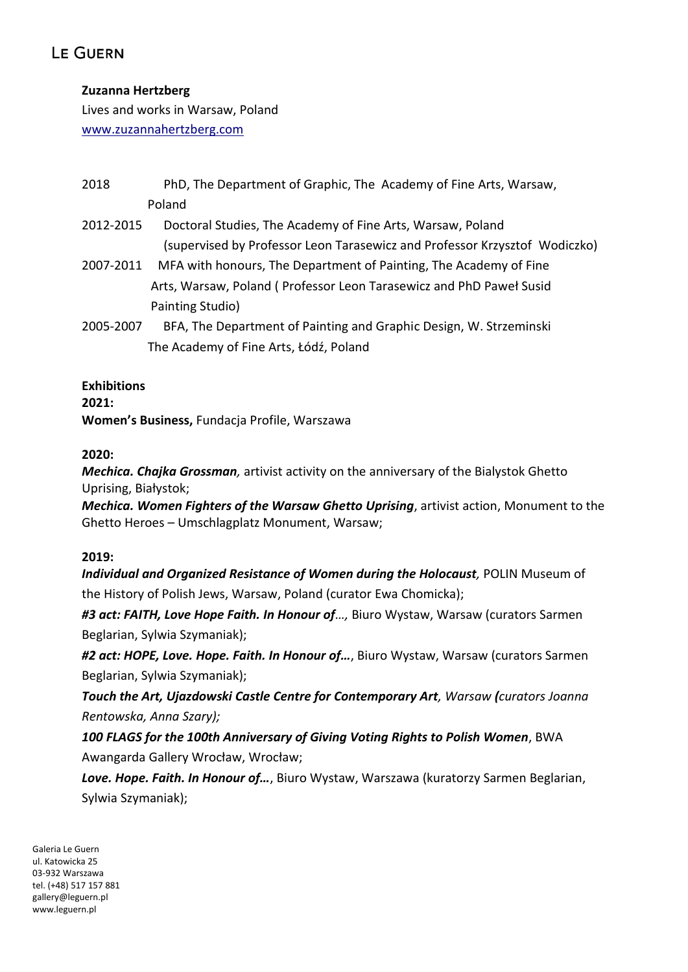## **Zuzanna Hertzberg**

Lives and works in Warsaw, Poland [www.zuzannahertzberg.com](http://www.zuzannahertzberg.com/)

- 2018 PhD, The Department of Graphic, The Academy of Fine Arts, Warsaw, Poland
- 2012-2015 Doctoral Studies, The Academy of Fine Arts, Warsaw, Poland (supervised by Professor Leon Tarasewicz and Professor Krzysztof Wodiczko)
- 2007-2011 MFA with honours, The Department of Painting, The Academy of Fine Arts, Warsaw, Poland ( Professor Leon Tarasewicz and PhD Paweł Susid Painting Studio)
- 2005-2007 BFA, The Department of Painting and Graphic Design, W. Strzeminski The Academy of Fine Arts, Łódź, Poland

### **Exhibitions**

#### **2021:**

**Women's Business,** Fundacja Profile, Warszawa

### **2020:**

*Mechica. Chajka Grossman,* artivist activity on the anniversary of the Bialystok Ghetto Uprising, Białystok;

*Mechica. Women Fighters of the Warsaw Ghetto Uprising*, artivist action, Monument to the Ghetto Heroes – Umschlagplatz Monument, Warsaw;

### **2019:**

*Individual and Organized Resistance of Women during the Holocaust,* POLIN Museum of the History of Polish Jews, Warsaw, Poland (curator Ewa Chomicka);

*#3 act: FAITH, Love Hope Faith. In Honour of…,* Biuro Wystaw, Warsaw (curators Sarmen Beglarian, Sylwia Szymaniak);

*#2 act: HOPE, Love. Hope. Faith. In Honour of…*, Biuro Wystaw, Warsaw (curators Sarmen Beglarian, Sylwia Szymaniak);

*Touch the Art, Ujazdowski Castle Centre for Contemporary Art, Warsaw (curators Joanna Rentowska, Anna Szary);*

*100 FLAGS for the 100th Anniversary of Giving Voting Rights to Polish Women*, BWA Awangarda Gallery Wrocław, Wrocław;

*Love. Hope. Faith. In Honour of…*, Biuro Wystaw, Warszawa (kuratorzy Sarmen Beglarian, Sylwia Szymaniak);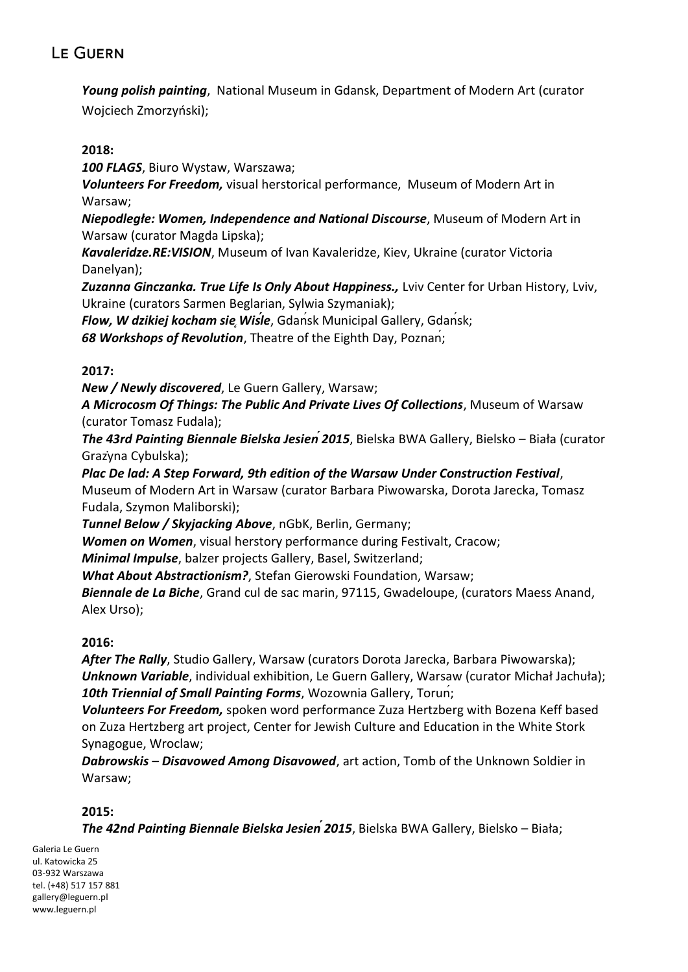*Young polish painting*, National Museum in Gdansk, Department of Modern Art (curator Wojciech Zmorzyński);

#### **2018:**

*100 FLAGS*, Biuro Wystaw, Warszawa;

*Volunteers For Freedom,* visual herstorical performance, Museum of Modern Art in Warsaw;

*Niepodległe: Women, Independence and National Discourse*, Museum of Modern Art in Warsaw (curator Magda Lipska);

*Kavaleridze.RE:VISION*, Museum of Ivan Kavaleridze, Kiev, Ukraine (curator Victoria Danelyan);

Zuzanna Ginczanka. True Life Is Only About Happiness., Lviv Center for Urban History, Lviv, Ukraine (curators Sarmen Beglarian, Sylwia Szymaniak);

*Flow, W dzikiej kocham sie*, *Wisle*, Gdansk Municipal Gallery, Gdansk;

*68 Workshops of Revolution*, Theatre of the Eighth Day, Poznań;

#### **2017:**

*New / Newly discovered*, Le Guern Gallery, Warsaw;

*A Microcosm Of Things: The Public And Private Lives Of Collections*, Museum of Warsaw (curator Tomasz Fudala);

*The 43rd Painting Biennale Bielska Jesień2015*, Bielska BWA Gallery, Bielsko – Biała (curator Grażyna Cybulska);

*Plac De lad: A Step Forward, 9th edition of the Warsaw Under Construction Festival*, Museum of Modern Art in Warsaw (curator Barbara Piwowarska, Dorota Jarecka, Tomasz Fudala, Szymon Maliborski);

*Tunnel Below / Skyjacking Above*, nGbK, Berlin, Germany;

*Women on Women*, visual herstory performance during Festivalt, Cracow;

*Minimal Impulse*, balzer projects Gallery, Basel, Switzerland;

*What About Abstractionism?*, Stefan Gierowski Foundation, Warsaw;

*Biennale de La Biche*, Grand cul de sac marin, 97115, Gwadeloupe, (curators Maess Anand, Alex Urso);

### **2016:**

*After The Rally*, Studio Gallery, Warsaw (curators Dorota Jarecka, Barbara Piwowarska); *Unknown Variable*, individual exhibition, Le Guern Gallery, Warsaw (curator Michał Jachuła); *10th Triennial of Small Painting Forms*, Wozownia Gallery, Toruń;

*Volunteers For Freedom,* spoken word performance Zuza Hertzberg with Bozena Keff based on Zuza Hertzberg art project, Center for Jewish Culture and Education in the White Stork Synagogue, Wroclaw;

*Dabrowskis – Disavowed Among Disavowed*, art action, Tomb of the Unknown Soldier in Warsaw;

### **2015:**

*The 42nd Painting Biennale Bielska Jesień2015*, Bielska BWA Gallery, Bielsko – Biała;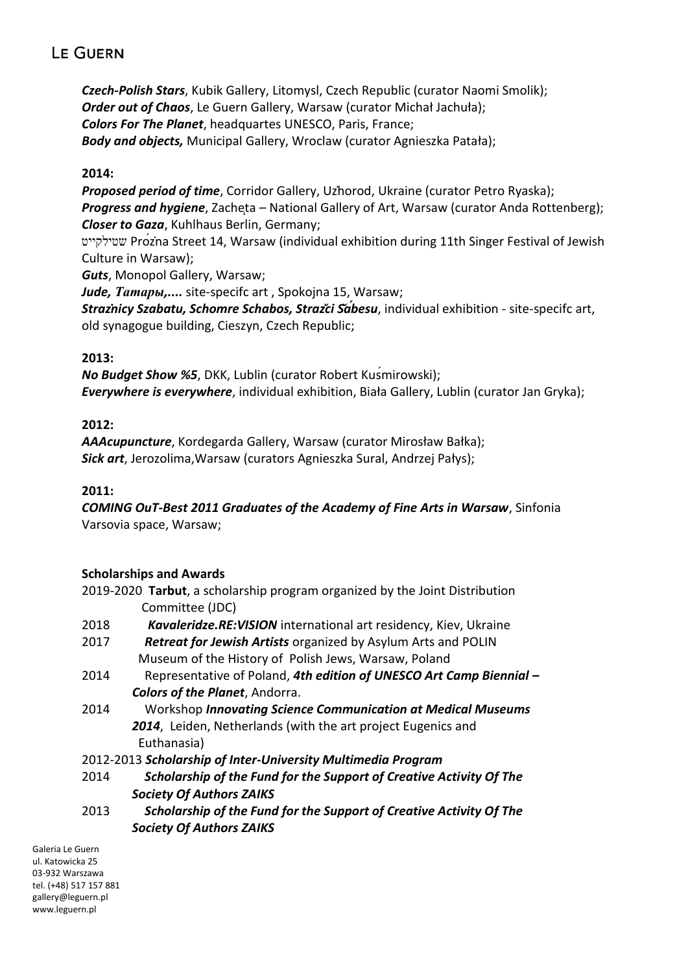*Czech-Polish Stars*, Kubik Gallery, Litomysl, Czech Republic (curator Naomi Smolik); *Order out of Chaos*, Le Guern Gallery, Warsaw (curator Michał Jachuła); *Colors For The Planet*, headquartes UNESCO, Paris, France; *Body and objects,* Municipal Gallery, Wroclaw (curator Agnieszka Patała);

#### **2014:**

*Proposed period of time*, Corridor Gallery, Użhorod, Ukraine (curator Petro Ryaska); **Progress and hygiene**, Zacheta – National Gallery of Art, Warsaw (curator Anda Rottenberg); *Closer to Gaza*, Kuhlhaus Berlin, Germany;

 שטילקייט Próżna Street 14, Warsaw (individual exhibition during 11th Singer Festival of Jewish Culture in Warsaw);

*Guts*, Monopol Gallery, Warsaw;

*Jude, Татары,....* site-specifc art , Spokojna 15, Warsaw; *Strażnicy Szabatu, Schomre Schabos, Stražci Šábesu*, individual exhibition - site-specifc art, old synagogue building, Cieszyn, Czech Republic;

#### **2013:**

*No Budget Show %5*, DKK, Lublin (curator Robert Kuśmirowski); *Everywhere is everywhere*, individual exhibition, Biała Gallery, Lublin (curator Jan Gryka);

#### **2012:**

*AAAcupuncture*, Kordegarda Gallery, Warsaw (curator Mirosław Bałka); *Sick art*, Jerozolima,Warsaw (curators Agnieszka Sural, Andrzej Pałys);

#### **2011:**

*COMING OuT-Best 2011 Graduates of the Academy of Fine Arts in Warsaw*, Sinfonia Varsovia space, Warsaw;

### **Scholarships and Awards**

2019-2020 **Tarbut**, a scholarship program organized by the Joint Distribution Committee (JDC)

- 2018 *Kavaleridze.RE:VISION* international art residency, Kiev, Ukraine
- 2017 *Retreat for Jewish Artists* organized by Asylum Arts and POLIN Museum of the History of Polish Jews, Warsaw, Poland
- 2014 Representative of Poland, *4th edition of UNESCO Art Camp Biennial – Colors of the Planet*, Andorra.
- 2014 Workshop *Innovating Science Communication at Medical Museums 2014*, Leiden, Netherlands (with the art project Eugenics and Euthanasia)

2012-2013 *Scholarship of Inter-University Multimedia Program*

- 2014 *Scholarship of the Fund for the Support of Creative Activity Of The Society Of Authors ZAIKS*
- 2013 *Scholarship of the Fund for the Support of Creative Activity Of The Society Of Authors ZAIKS*